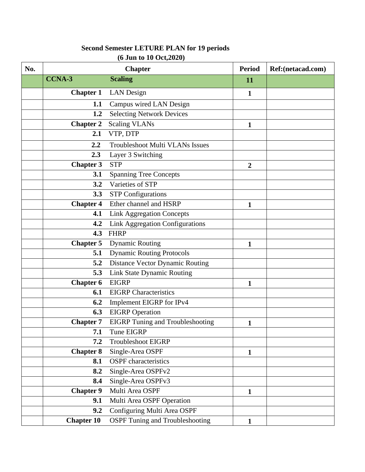| No. |                   | <b>Chapter</b>                          | <b>Period</b>  | Ref:(netacad.com) |
|-----|-------------------|-----------------------------------------|----------------|-------------------|
|     | <b>CCNA-3</b>     | <b>Scaling</b>                          | <b>11</b>      |                   |
|     | <b>Chapter 1</b>  | <b>LAN</b> Design                       | 1              |                   |
|     | 1.1               | Campus wired LAN Design                 |                |                   |
|     | 1.2               | <b>Selecting Network Devices</b>        |                |                   |
|     | <b>Chapter 2</b>  | <b>Scaling VLANs</b>                    | $\mathbf{1}$   |                   |
|     | 2.1               | VTP, DTP                                |                |                   |
|     | 2.2               | <b>Troubleshoot Multi VLANs Issues</b>  |                |                   |
|     | 2.3               | Layer 3 Switching                       |                |                   |
|     | <b>Chapter 3</b>  | <b>STP</b>                              | $\overline{2}$ |                   |
|     | 3.1               | <b>Spanning Tree Concepts</b>           |                |                   |
|     | 3.2               | Varieties of STP                        |                |                   |
|     | 3.3               | <b>STP Configurations</b>               |                |                   |
|     | <b>Chapter 4</b>  | Ether channel and HSRP                  | 1              |                   |
|     | 4.1               | <b>Link Aggregation Concepts</b>        |                |                   |
|     | 4.2               | <b>Link Aggregation Configurations</b>  |                |                   |
|     | 4.3               | <b>FHRP</b>                             |                |                   |
|     | <b>Chapter 5</b>  | <b>Dynamic Routing</b>                  | $\mathbf{1}$   |                   |
|     | 5.1               | <b>Dynamic Routing Protocols</b>        |                |                   |
|     | 5.2               | <b>Distance Vector Dynamic Routing</b>  |                |                   |
|     | 5.3               | Link State Dynamic Routing              |                |                   |
|     | <b>Chapter 6</b>  | <b>EIGRP</b>                            | 1              |                   |
|     | 6.1               | <b>EIGRP</b> Characteristics            |                |                   |
|     | 6.2               | Implement EIGRP for IPv4                |                |                   |
|     | 6.3               | <b>EIGRP</b> Operation                  |                |                   |
|     | <b>Chapter 7</b>  | <b>EIGRP</b> Tuning and Troubleshooting | $\mathbf{1}$   |                   |
|     | 7.1               | Tune EIGRP                              |                |                   |
|     | 7.2               | <b>Troubleshoot EIGRP</b>               |                |                   |
|     | <b>Chapter 8</b>  | Single-Area OSPF                        | $\mathbf{1}$   |                   |
|     | 8.1               | <b>OSPF</b> characteristics             |                |                   |
|     | 8.2               | Single-Area OSPFv2                      |                |                   |
|     | 8.4               | Single-Area OSPFv3                      |                |                   |
|     | <b>Chapter 9</b>  | Multi Area OSPF                         | $\mathbf{1}$   |                   |
|     | 9.1               | Multi Area OSPF Operation               |                |                   |
|     | 9.2               | Configuring Multi Area OSPF             |                |                   |
|     | <b>Chapter 10</b> | <b>OSPF Tuning and Troubleshooting</b>  | $\mathbf{1}$   |                   |

# **Second Semester LETURE PLAN for 19 periods (6 Jun to 10 Oct,2020)**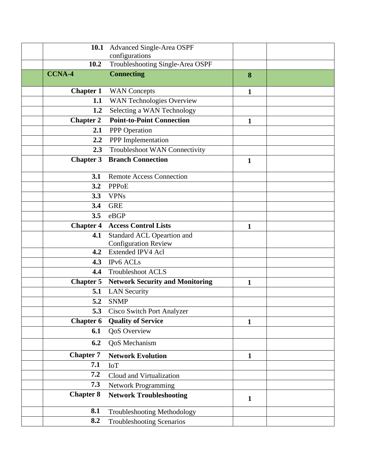| 10.1             | <b>Advanced Single-Area OSPF</b>                        |              |  |
|------------------|---------------------------------------------------------|--------------|--|
|                  | configurations                                          |              |  |
| 10.2             | Troubleshooting Single-Area OSPF                        |              |  |
| <b>CCNA-4</b>    | <b>Connecting</b>                                       | 8            |  |
| <b>Chapter 1</b> | <b>WAN</b> Concepts                                     | $\mathbf{1}$ |  |
| 1.1              | WAN Technologies Overview                               |              |  |
| 1.2              | Selecting a WAN Technology                              |              |  |
| <b>Chapter 2</b> | <b>Point-to-Point Connection</b>                        | 1            |  |
| 2.1              | PPP Operation                                           |              |  |
| 2.2              | PPP Implementation                                      |              |  |
| 2.3              | Troubleshoot WAN Connectivity                           |              |  |
| <b>Chapter 3</b> | <b>Branch Connection</b>                                | $\mathbf{1}$ |  |
|                  |                                                         |              |  |
| 3.1              | <b>Remote Access Connection</b>                         |              |  |
| 3.2              | <b>PPPoE</b>                                            |              |  |
| 3.3              | <b>VPNs</b>                                             |              |  |
| 3.4              | <b>GRE</b>                                              |              |  |
| 3.5              | eBGP                                                    |              |  |
| <b>Chapter 4</b> | <b>Access Control Lists</b>                             | 1            |  |
| 4.1              | Standard ACL Opeartion and                              |              |  |
| 4.2              | <b>Configuration Review</b><br><b>Extended IPV4 Acl</b> |              |  |
| 4.3              | IPv6 ACLs                                               |              |  |
| 4.4              | <b>Troubleshoot ACLS</b>                                |              |  |
| <b>Chapter 5</b> | <b>Network Security and Monitoring</b>                  |              |  |
| 5.1              | <b>LAN Security</b>                                     | $\mathbf{1}$ |  |
| 5.2              | <b>SNMP</b>                                             |              |  |
| 5.3              | <b>Cisco Switch Port Analyzer</b>                       |              |  |
| <b>Chapter 6</b> | <b>Quality of Service</b>                               | $\mathbf{1}$ |  |
| 6.1              | <b>QoS</b> Overview                                     |              |  |
| 6.2              | QoS Mechanism                                           |              |  |
| <b>Chapter 7</b> | <b>Network Evolution</b>                                | $\mathbf{1}$ |  |
| 7.1              | <b>IoT</b>                                              |              |  |
| 7.2              | Cloud and Virtualization                                |              |  |
| 7.3              |                                                         |              |  |
| <b>Chapter 8</b> | <b>Network Programming</b>                              |              |  |
|                  | <b>Network Troubleshooting</b>                          | $\mathbf{1}$ |  |
| 8.1              | Troubleshooting Methodology                             |              |  |
| 8.2              | <b>Troubleshooting Scenarios</b>                        |              |  |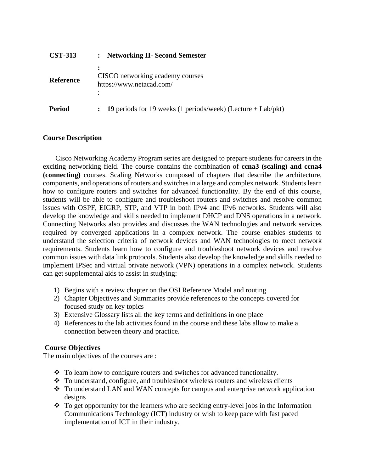| <b>CST-313</b>   | <b>Networking II- Second Semester</b><br>$\ddot{\cdot}$           |
|------------------|-------------------------------------------------------------------|
| <b>Reference</b> | CISCO networking academy courses<br>https://www.netacad.com/<br>٠ |
| <b>Period</b>    | $\colon$ 19 periods for 19 weeks (1 periods/week) (Lecture +      |

## **Course Description**

Cisco Networking Academy Program series are designed to prepare students for careers in the exciting networking field. The course contains the combination of **ccna3 (scaling) and ccna4 (connecting)** courses. Scaling Networks composed of chapters that describe the architecture, components, and operations of routers and switches in a large and complex network. Students learn how to configure routers and switches for advanced functionality. By the end of this course, students will be able to configure and troubleshoot routers and switches and resolve common issues with OSPF, EIGRP, STP, and VTP in both IPv4 and IPv6 networks. Students will also develop the knowledge and skills needed to implement DHCP and DNS operations in a network. Connecting Networks also provides and discusses the WAN technologies and network services required by converged applications in a complex network. The course enables students to understand the selection criteria of network devices and WAN technologies to meet network requirements. Students learn how to configure and troubleshoot network devices and resolve common issues with data link protocols. Students also develop the knowledge and skills needed to implement IPSec and virtual private network (VPN) operations in a complex network. Students can get supplemental aids to assist in studying:

Lab/pkt)

- 1) Begins with a review chapter on the OSI Reference Model and routing
- 2) Chapter Objectives and Summaries provide references to the concepts covered for focused study on key topics
- 3) Extensive Glossary lists all the key terms and definitions in one place
- 4) References to the lab activities found in the course and these labs allow to make a connection between theory and practice.

## **Course Objectives**

The main objectives of the courses are :

- $\div$  To learn how to configure routers and switches for advanced functionality.
- ❖ To understand, configure, and troubleshoot wireless routers and wireless clients
- ❖ To understand LAN and WAN concepts for campus and enterprise network application designs
- ❖ To get opportunity for the learners who are seeking entry-level jobs in the Information Communications Technology (ICT) industry or wish to keep pace with fast paced implementation of ICT in their industry.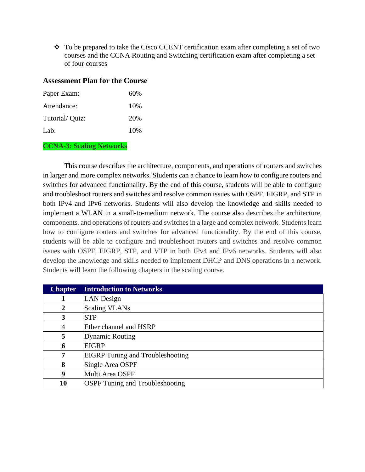❖ To be prepared to take the Cisco CCENT certification exam after completing a set of two courses and the CCNA Routing and Switching certification exam after completing a set of four courses

### **Assessment Plan for the Course**

| Paper Exam:    | 60%  |
|----------------|------|
| Attendance:    | 10\% |
| Tutorial/Quiz: | 20%  |
| Lab:           | 10%  |

### **CCNA-3: Scaling Networks**

This course describes the architecture, components, and operations of routers and switches in larger and more complex networks. Students can a chance to learn how to configure routers and switches for advanced functionality. By the end of this course, students will be able to configure and troubleshoot routers and switches and resolve common issues with OSPF, EIGRP, and STP in both IPv4 and IPv6 networks. Students will also develop the knowledge and skills needed to implement a WLAN in a small-to-medium network. The course also describes the architecture, components, and operations of routers and switches in a large and complex network. Students learn how to configure routers and switches for advanced functionality. By the end of this course, students will be able to configure and troubleshoot routers and switches and resolve common issues with OSPF, EIGRP, STP, and VTP in both IPv4 and IPv6 networks. Students will also develop the knowledge and skills needed to implement DHCP and DNS operations in a network. Students will learn the following chapters in the scaling course.

| <b>Chapter</b> | <b>Introduction to Networks</b>         |
|----------------|-----------------------------------------|
|                | LAN Design                              |
| $\mathbf{2}$   | <b>Scaling VLANs</b>                    |
| 3              | <b>STP</b>                              |
| 4              | Ether channel and HSRP                  |
| 5              | <b>Dynamic Routing</b>                  |
| 6              | <b>EIGRP</b>                            |
| 7              | <b>EIGRP</b> Tuning and Troubleshooting |
| 8              | Single Area OSPF                        |
| 9              | Multi Area OSPF                         |
| 10             | <b>OSPF</b> Tuning and Troubleshooting  |